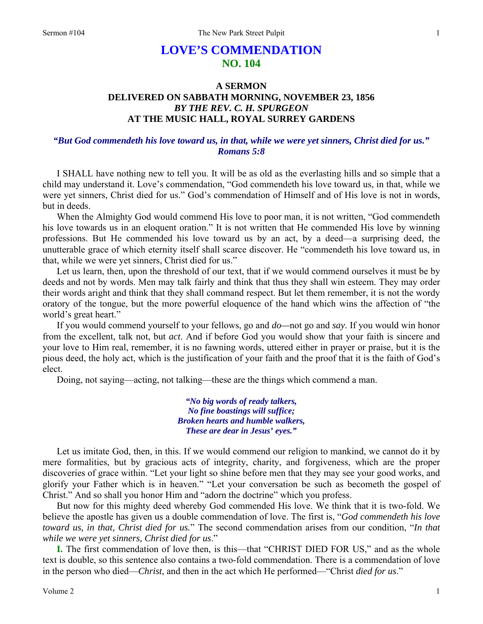# **LOVE'S COMMENDATION NO. 104**

## **A SERMON DELIVERED ON SABBATH MORNING, NOVEMBER 23, 1856**  *BY THE REV. C. H. SPURGEON*  **AT THE MUSIC HALL, ROYAL SURREY GARDENS**

### *"But God commendeth his love toward us, in that, while we were yet sinners, Christ died for us." Romans 5:8*

I SHALL have nothing new to tell you. It will be as old as the everlasting hills and so simple that a child may understand it. Love's commendation, "God commendeth his love toward us, in that, while we were yet sinners, Christ died for us." God's commendation of Himself and of His love is not in words, but in deeds.

When the Almighty God would commend His love to poor man, it is not written, "God commendeth his love towards us in an eloquent oration." It is not written that He commended His love by winning professions. But He commended his love toward us by an act, by a deed—a surprising deed, the unutterable grace of which eternity itself shall scarce discover. He "commendeth his love toward us, in that, while we were yet sinners, Christ died for us."

Let us learn, then, upon the threshold of our text, that if we would commend ourselves it must be by deeds and not by words. Men may talk fairly and think that thus they shall win esteem. They may order their words aright and think that they shall command respect. But let them remember, it is not the wordy oratory of the tongue, but the more powerful eloquence of the hand which wins the affection of "the world's great heart."

If you would commend yourself to your fellows, go and *do—*not go and *say*. If you would win honor from the excellent, talk not, but *act*. And if before God you would show that your faith is sincere and your love to Him real, remember, it is no fawning words, uttered either in prayer or praise, but it is the pious deed, the holy act, which is the justification of your faith and the proof that it is the faith of God's elect.

Doing, not saying—acting, not talking—these are the things which commend a man.

*"No big words of ready talkers, No fine boastings will suffice; Broken hearts and humble walkers, These are dear in Jesus' eyes."* 

Let us imitate God, then, in this. If we would commend our religion to mankind, we cannot do it by mere formalities, but by gracious acts of integrity, charity, and forgiveness, which are the proper discoveries of grace within. "Let your light so shine before men that they may see your good works, and glorify your Father which is in heaven." "Let your conversation be such as becometh the gospel of Christ." And so shall you honor Him and "adorn the doctrine" which you profess.

But now for this mighty deed whereby God commended His love. We think that it is two-fold. We believe the apostle has given us a double commendation of love. The first is, "*God commendeth his love toward us, in that, Christ died for us.*" The second commendation arises from our condition, "*In that while we were yet sinners, Christ died for us*."

**I.** The first commendation of love then, is this—that "CHRIST DIED FOR US," and as the whole text is double, so this sentence also contains a two-fold commendation. There is a commendation of love in the person who died—*Christ*, and then in the act which He performed—"Christ *died for us*."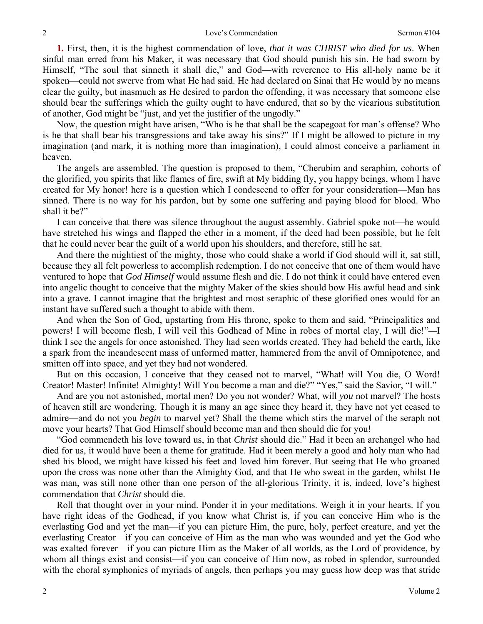**1.** First, then, it is the highest commendation of love, *that it was CHRIST who died for us*. When sinful man erred from his Maker, it was necessary that God should punish his sin. He had sworn by Himself, "The soul that sinneth it shall die," and God—with reverence to His all-holy name be it spoken—could not swerve from what He had said. He had declared on Sinai that He would by no means clear the guilty, but inasmuch as He desired to pardon the offending, it was necessary that someone else should bear the sufferings which the guilty ought to have endured, that so by the vicarious substitution of another, God might be "just, and yet the justifier of the ungodly."

Now, the question might have arisen, "Who is he that shall be the scapegoat for man's offense? Who is he that shall bear his transgressions and take away his sins?" If I might be allowed to picture in my imagination (and mark, it is nothing more than imagination), I could almost conceive a parliament in heaven.

The angels are assembled. The question is proposed to them, "Cherubim and seraphim, cohorts of the glorified, you spirits that like flames of fire, swift at My bidding fly, you happy beings, whom I have created for My honor! here is a question which I condescend to offer for your consideration—Man has sinned. There is no way for his pardon, but by some one suffering and paying blood for blood. Who shall it be?"

I can conceive that there was silence throughout the august assembly. Gabriel spoke not—he would have stretched his wings and flapped the ether in a moment, if the deed had been possible, but he felt that he could never bear the guilt of a world upon his shoulders, and therefore, still he sat.

And there the mightiest of the mighty, those who could shake a world if God should will it, sat still, because they all felt powerless to accomplish redemption. I do not conceive that one of them would have ventured to hope that *God Himself* would assume flesh and die. I do not think it could have entered even into angelic thought to conceive that the mighty Maker of the skies should bow His awful head and sink into a grave. I cannot imagine that the brightest and most seraphic of these glorified ones would for an instant have suffered such a thought to abide with them.

And when the Son of God, upstarting from His throne, spoke to them and said, "Principalities and powers! I will become flesh, I will veil this Godhead of Mine in robes of mortal clay, I will die!"*—*I think I see the angels for once astonished. They had seen worlds created. They had beheld the earth, like a spark from the incandescent mass of unformed matter, hammered from the anvil of Omnipotence, and smitten off into space, and yet they had not wondered.

But on this occasion, I conceive that they ceased not to marvel, "What! will You die, O Word! Creator! Master! Infinite! Almighty! Will You become a man and die?" "Yes," said the Savior, "I will."

And are you not astonished, mortal men? Do you not wonder? What, will *you* not marvel? The hosts of heaven still are wondering. Though it is many an age since they heard it, they have not yet ceased to admire—and do not you *begin* to marvel yet? Shall the theme which stirs the marvel of the seraph not move your hearts? That God Himself should become man and then should die for you!

"God commendeth his love toward us, in that *Christ* should die." Had it been an archangel who had died for us, it would have been a theme for gratitude. Had it been merely a good and holy man who had shed his blood, we might have kissed his feet and loved him forever. But seeing that He who groaned upon the cross was none other than the Almighty God, and that He who sweat in the garden, whilst He was man, was still none other than one person of the all-glorious Trinity, it is, indeed, love's highest commendation that *Christ* should die.

Roll that thought over in your mind. Ponder it in your meditations. Weigh it in your hearts. If you have right ideas of the Godhead, if you know what Christ is, if you can conceive Him who is the everlasting God and yet the man—if you can picture Him, the pure, holy, perfect creature, and yet the everlasting Creator—if you can conceive of Him as the man who was wounded and yet the God who was exalted forever—if you can picture Him as the Maker of all worlds, as the Lord of providence, by whom all things exist and consist—if you can conceive of Him now, as robed in splendor, surrounded with the choral symphonies of myriads of angels, then perhaps you may guess how deep was that stride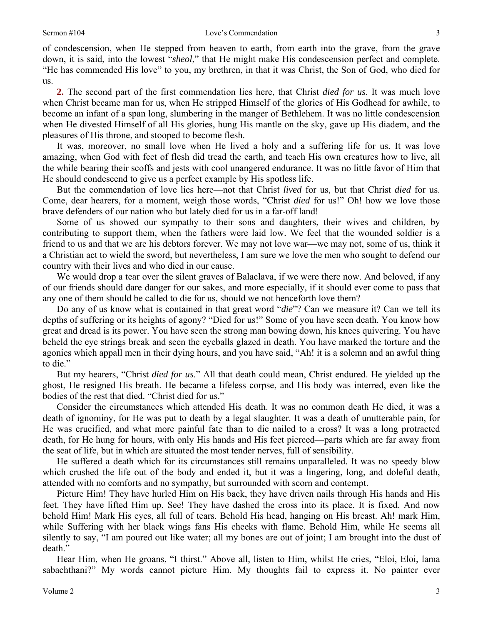of condescension, when He stepped from heaven to earth, from earth into the grave, from the grave down, it is said, into the lowest "*sheol*," that He might make His condescension perfect and complete. "He has commended His love" to you, my brethren, in that it was Christ, the Son of God, who died for us.

**2.** The second part of the first commendation lies here, that Christ *died for us*. It was much love when Christ became man for us, when He stripped Himself of the glories of His Godhead for awhile, to become an infant of a span long, slumbering in the manger of Bethlehem. It was no little condescension when He divested Himself of all His glories, hung His mantle on the sky, gave up His diadem, and the pleasures of His throne, and stooped to become flesh.

It was, moreover, no small love when He lived a holy and a suffering life for us. It was love amazing, when God with feet of flesh did tread the earth, and teach His own creatures how to live, all the while bearing their scoffs and jests with cool unangered endurance. It was no little favor of Him that He should condescend to give us a perfect example by His spotless life.

But the commendation of love lies here—not that Christ *lived* for us, but that Christ *died* for us. Come, dear hearers, for a moment, weigh those words, "Christ *died* for us!" Oh! how we love those brave defenders of our nation who but lately died for us in a far-off land!

Some of us showed our sympathy to their sons and daughters, their wives and children, by contributing to support them, when the fathers were laid low. We feel that the wounded soldier is a friend to us and that we are his debtors forever. We may not love war—we may not, some of us, think it a Christian act to wield the sword, but nevertheless, I am sure we love the men who sought to defend our country with their lives and who died in our cause.

We would drop a tear over the silent graves of Balaclava, if we were there now. And beloved, if any of our friends should dare danger for our sakes, and more especially, if it should ever come to pass that any one of them should be called to die for us, should we not henceforth love them?

Do any of us know what is contained in that great word "*die*"? Can we measure it? Can we tell its depths of suffering or its heights of agony? "Died for us!" Some of you have seen death. You know how great and dread is its power. You have seen the strong man bowing down, his knees quivering. You have beheld the eye strings break and seen the eyeballs glazed in death. You have marked the torture and the agonies which appall men in their dying hours, and you have said, "Ah! it is a solemn and an awful thing to die."

But my hearers, "Christ *died for us*." All that death could mean, Christ endured. He yielded up the ghost, He resigned His breath. He became a lifeless corpse, and His body was interred, even like the bodies of the rest that died. "Christ died for us."

Consider the circumstances which attended His death. It was no common death He died, it was a death of ignominy, for He was put to death by a legal slaughter. It was a death of unutterable pain, for He was crucified, and what more painful fate than to die nailed to a cross? It was a long protracted death, for He hung for hours, with only His hands and His feet pierced—parts which are far away from the seat of life, but in which are situated the most tender nerves, full of sensibility.

He suffered a death which for its circumstances still remains unparalleled. It was no speedy blow which crushed the life out of the body and ended it, but it was a lingering, long, and doleful death, attended with no comforts and no sympathy, but surrounded with scorn and contempt.

Picture Him! They have hurled Him on His back, they have driven nails through His hands and His feet. They have lifted Him up. See! They have dashed the cross into its place. It is fixed. And now behold Him! Mark His eyes, all full of tears. Behold His head, hanging on His breast. Ah! mark Him, while Suffering with her black wings fans His cheeks with flame. Behold Him, while He seems all silently to say, "I am poured out like water; all my bones are out of joint; I am brought into the dust of death."

Hear Him, when He groans, "I thirst." Above all, listen to Him, whilst He cries, "Eloi, Eloi, lama sabachthani?" My words cannot picture Him. My thoughts fail to express it. No painter ever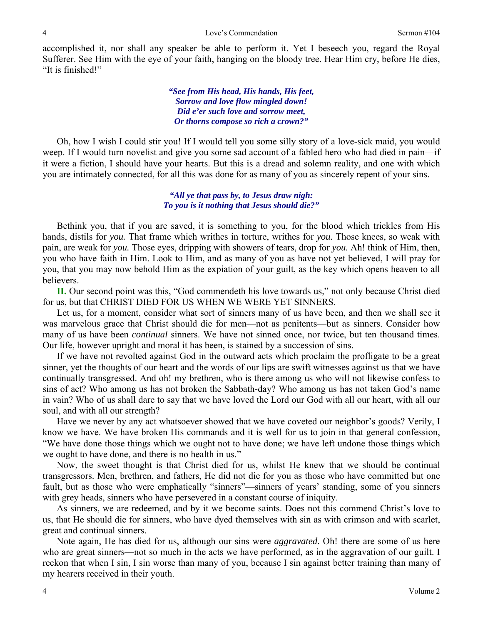accomplished it, nor shall any speaker be able to perform it. Yet I beseech you, regard the Royal Sufferer. See Him with the eye of your faith, hanging on the bloody tree. Hear Him cry, before He dies, "It is finished!"

> *"See from His head, His hands, His feet, Sorrow and love flow mingled down! Did e'er such love and sorrow meet, Or thorns compose so rich a crown?"*

Oh, how I wish I could stir you! If I would tell you some silly story of a love-sick maid, you would weep. If I would turn novelist and give you some sad account of a fabled hero who had died in pain—if it were a fiction, I should have your hearts. But this is a dread and solemn reality, and one with which you are intimately connected, for all this was done for as many of you as sincerely repent of your sins.

> *"All ye that pass by, to Jesus draw nigh: To you is it nothing that Jesus should die?"*

Bethink you, that if you are saved, it is something to you, for the blood which trickles from His hands, distils for *you.* That frame which writhes in torture, writhes for *you.* Those knees, so weak with pain, are weak for *you.* Those eyes, dripping with showers of tears, drop for *you.* Ah! think of Him, then, you who have faith in Him. Look to Him, and as many of you as have not yet believed, I will pray for you, that you may now behold Him as the expiation of your guilt, as the key which opens heaven to all believers.

**II.** Our second point was this, "God commendeth his love towards us," not only because Christ died for us, but that CHRIST DIED FOR US WHEN WE WERE YET SINNERS.

Let us, for a moment, consider what sort of sinners many of us have been, and then we shall see it was marvelous grace that Christ should die for men—not as penitents—but as sinners. Consider how many of us have been *continual* sinners. We have not sinned once, nor twice, but ten thousand times. Our life, however upright and moral it has been, is stained by a succession of sins.

If we have not revolted against God in the outward acts which proclaim the profligate to be a great sinner, yet the thoughts of our heart and the words of our lips are swift witnesses against us that we have continually transgressed. And oh! my brethren, who is there among us who will not likewise confess to sins of act? Who among us has not broken the Sabbath-day? Who among us has not taken God's name in vain? Who of us shall dare to say that we have loved the Lord our God with all our heart, with all our soul, and with all our strength?

Have we never by any act whatsoever showed that we have coveted our neighbor's goods? Verily, I know we have. We have broken His commands and it is well for us to join in that general confession, "We have done those things which we ought not to have done; we have left undone those things which we ought to have done, and there is no health in us."

Now, the sweet thought is that Christ died for us, whilst He knew that we should be continual transgressors. Men, brethren, and fathers, He did not die for you as those who have committed but one fault, but as those who were emphatically "sinners"—sinners of years' standing, some of you sinners with grey heads, sinners who have persevered in a constant course of iniquity.

As sinners, we are redeemed, and by it we become saints. Does not this commend Christ's love to us, that He should die for sinners, who have dyed themselves with sin as with crimson and with scarlet, great and continual sinners.

Note again, He has died for us, although our sins were *aggravated*. Oh! there are some of us here who are great sinners—not so much in the acts we have performed, as in the aggravation of our guilt. I reckon that when I sin, I sin worse than many of you, because I sin against better training than many of my hearers received in their youth.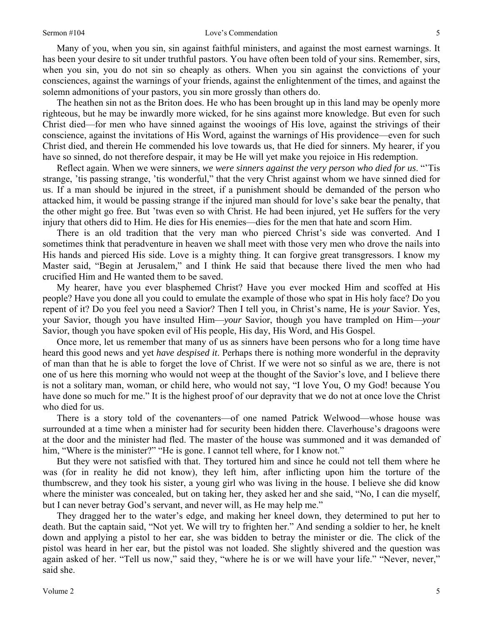#### Sermon #104 Love's Commendation

Many of you, when you sin, sin against faithful ministers, and against the most earnest warnings. It has been your desire to sit under truthful pastors. You have often been told of your sins. Remember, sirs, when you sin, you do not sin so cheaply as others. When you sin against the convictions of your consciences, against the warnings of your friends, against the enlightenment of the times, and against the solemn admonitions of your pastors, you sin more grossly than others do.

The heathen sin not as the Briton does. He who has been brought up in this land may be openly more righteous, but he may be inwardly more wicked, for he sins against more knowledge. But even for such Christ died—for men who have sinned against the wooings of His love, against the strivings of their conscience, against the invitations of His Word, against the warnings of His providence—even for such Christ died, and therein He commended his love towards us, that He died for sinners. My hearer, if you have so sinned, do not therefore despair, it may be He will yet make you rejoice in His redemption.

Reflect again. When we were sinners, *we were sinners against the very person who died for us*. "'Tis strange, 'tis passing strange, 'tis wonderful," that the very Christ against whom we have sinned died for us. If a man should be injured in the street, if a punishment should be demanded of the person who attacked him, it would be passing strange if the injured man should for love's sake bear the penalty, that the other might go free. But 'twas even so with Christ. He had been injured, yet He suffers for the very injury that others did to Him. He dies for His enemies—dies for the men that hate and scorn Him.

There is an old tradition that the very man who pierced Christ's side was converted. And I sometimes think that peradventure in heaven we shall meet with those very men who drove the nails into His hands and pierced His side. Love is a mighty thing. It can forgive great transgressors. I know my Master said, "Begin at Jerusalem," and I think He said that because there lived the men who had crucified Him and He wanted them to be saved.

My hearer, have you ever blasphemed Christ? Have you ever mocked Him and scoffed at His people? Have you done all you could to emulate the example of those who spat in His holy face? Do you repent of it? Do you feel you need a Savior? Then I tell you, in Christ's name, He is *your* Savior. Yes, your Savior, though you have insulted Him—*your* Savior, though you have trampled on Him—*your* Savior, though you have spoken evil of His people, His day, His Word, and His Gospel.

Once more, let us remember that many of us as sinners have been persons who for a long time have heard this good news and yet *have despised it*. Perhaps there is nothing more wonderful in the depravity of man than that he is able to forget the love of Christ. If we were not so sinful as we are, there is not one of us here this morning who would not weep at the thought of the Savior's love, and I believe there is not a solitary man, woman, or child here, who would not say, "I love You, O my God! because You have done so much for me." It is the highest proof of our depravity that we do not at once love the Christ who died for us.

There is a story told of the covenanters—of one named Patrick Welwood—whose house was surrounded at a time when a minister had for security been hidden there. Claverhouse's dragoons were at the door and the minister had fled. The master of the house was summoned and it was demanded of him, "Where is the minister?" "He is gone. I cannot tell where, for I know not."

But they were not satisfied with that. They tortured him and since he could not tell them where he was (for in reality he did not know), they left him, after inflicting upon him the torture of the thumbscrew, and they took his sister, a young girl who was living in the house. I believe she did know where the minister was concealed, but on taking her, they asked her and she said, "No, I can die myself, but I can never betray God's servant, and never will, as He may help me."

They dragged her to the water's edge, and making her kneel down, they determined to put her to death. But the captain said, "Not yet. We will try to frighten her." And sending a soldier to her, he knelt down and applying a pistol to her ear, she was bidden to betray the minister or die. The click of the pistol was heard in her ear, but the pistol was not loaded. She slightly shivered and the question was again asked of her. "Tell us now," said they, "where he is or we will have your life." "Never, never," said she.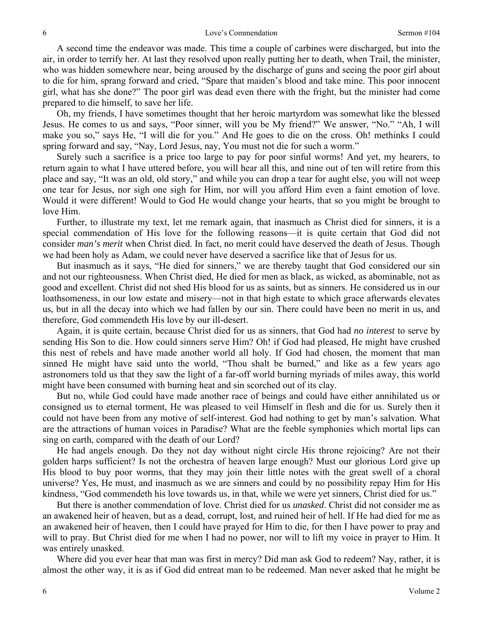A second time the endeavor was made. This time a couple of carbines were discharged, but into the air, in order to terrify her. At last they resolved upon really putting her to death, when Trail, the minister, who was hidden somewhere near, being aroused by the discharge of guns and seeing the poor girl about to die for him, sprang forward and cried, "Spare that maiden's blood and take mine. This poor innocent girl, what has she done?" The poor girl was dead even there with the fright, but the minister had come prepared to die himself, to save her life.

Oh, my friends, I have sometimes thought that her heroic martyrdom was somewhat like the blessed Jesus. He comes to us and says, "Poor sinner, will you be My friend?" We answer, "No." "Ah, I will make you so," says He, "I will die for you." And He goes to die on the cross. Oh! methinks I could spring forward and say, "Nay, Lord Jesus, nay, You must not die for such a worm."

Surely such a sacrifice is a price too large to pay for poor sinful worms! And yet, my hearers, to return again to what I have uttered before, you will hear all this, and nine out of ten will retire from this place and say, "It was an old, old story," and while you can drop a tear for aught else, you will not weep one tear for Jesus, nor sigh one sigh for Him, nor will you afford Him even a faint emotion of love. Would it were different! Would to God He would change your hearts, that so you might be brought to love Him.

Further, to illustrate my text, let me remark again, that inasmuch as Christ died for sinners, it is a special commendation of His love for the following reasons—it is quite certain that God did not consider *man's merit* when Christ died. In fact, no merit could have deserved the death of Jesus. Though we had been holy as Adam, we could never have deserved a sacrifice like that of Jesus for us.

But inasmuch as it says, "He died for sinners," we are thereby taught that God considered our sin and not our righteousness. When Christ died, He died for men as black, as wicked, as abominable, not as good and excellent. Christ did not shed His blood for us as saints, but as sinners. He considered us in our loathsomeness, in our low estate and misery—not in that high estate to which grace afterwards elevates us, but in all the decay into which we had fallen by our sin. There could have been no merit in us, and therefore, God commendeth His love by our ill-desert.

Again, it is quite certain, because Christ died for us as sinners, that God had *no interest* to serve by sending His Son to die. How could sinners serve Him? Oh! if God had pleased, He might have crushed this nest of rebels and have made another world all holy. If God had chosen, the moment that man sinned He might have said unto the world, "Thou shalt be burned," and like as a few years ago astronomers told us that they saw the light of a far-off world burning myriads of miles away, this world might have been consumed with burning heat and sin scorched out of its clay.

But no, while God could have made another race of beings and could have either annihilated us or consigned us to eternal torment, He was pleased to veil Himself in flesh and die for us. Surely then it could not have been from any motive of self-interest. God had nothing to get by man's salvation. What are the attractions of human voices in Paradise? What are the feeble symphonies which mortal lips can sing on earth, compared with the death of our Lord?

He had angels enough. Do they not day without night circle His throne rejoicing? Are not their golden harps sufficient? Is not the orchestra of heaven large enough? Must our glorious Lord give up His blood to buy poor worms, that they may join their little notes with the great swell of a choral universe? Yes, He must, and inasmuch as we are sinners and could by no possibility repay Him for His kindness, "God commendeth his love towards us, in that, while we were yet sinners, Christ died for us."

But there is another commendation of love. Christ died for us *unasked*. Christ did not consider me as an awakened heir of heaven, but as a dead, corrupt, lost, and ruined heir of hell. If He had died for me as an awakened heir of heaven, then I could have prayed for Him to die, for then I have power to pray and will to pray. But Christ died for me when I had no power, nor will to lift my voice in prayer to Him. It was entirely unasked.

Where did you ever hear that man was first in mercy? Did man ask God to redeem? Nay, rather, it is almost the other way, it is as if God did entreat man to be redeemed. Man never asked that he might be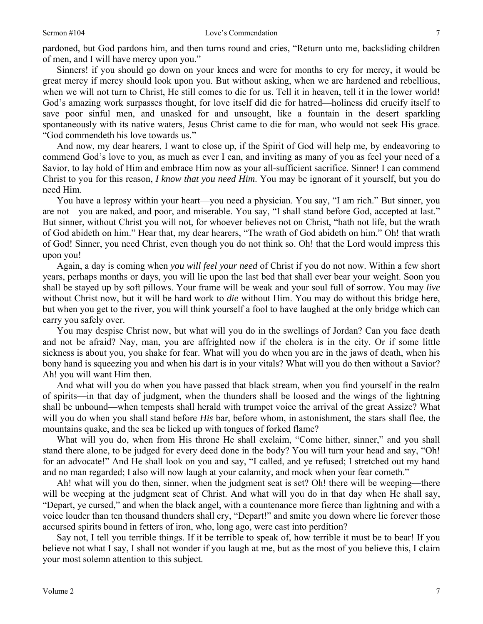pardoned, but God pardons him, and then turns round and cries, "Return unto me, backsliding children of men, and I will have mercy upon you."

Sinners! if you should go down on your knees and were for months to cry for mercy, it would be great mercy if mercy should look upon you. But without asking, when we are hardened and rebellious, when we will not turn to Christ, He still comes to die for us. Tell it in heaven, tell it in the lower world! God's amazing work surpasses thought, for love itself did die for hatred—holiness did crucify itself to save poor sinful men, and unasked for and unsought, like a fountain in the desert sparkling spontaneously with its native waters, Jesus Christ came to die for man, who would not seek His grace. "God commendeth his love towards us."

And now, my dear hearers, I want to close up, if the Spirit of God will help me, by endeavoring to commend God's love to you, as much as ever I can, and inviting as many of you as feel your need of a Savior, to lay hold of Him and embrace Him now as your all-sufficient sacrifice. Sinner! I can commend Christ to you for this reason, *I know that you need Him*. You may be ignorant of it yourself, but you do need Him.

You have a leprosy within your heart—you need a physician. You say, "I am rich." But sinner, you are not—you are naked, and poor, and miserable. You say, "I shall stand before God, accepted at last." But sinner, without Christ you will not, for whoever believes not on Christ, "hath not life, but the wrath of God abideth on him." Hear that, my dear hearers, "The wrath of God abideth on him." Oh! that wrath of God! Sinner, you need Christ, even though you do not think so. Oh! that the Lord would impress this upon you!

Again, a day is coming when *you will feel your need* of Christ if you do not now. Within a few short years, perhaps months or days, you will lie upon the last bed that shall ever bear your weight. Soon you shall be stayed up by soft pillows. Your frame will be weak and your soul full of sorrow. You may *live* without Christ now, but it will be hard work to *die* without Him. You may do without this bridge here, but when you get to the river, you will think yourself a fool to have laughed at the only bridge which can carry you safely over.

You may despise Christ now, but what will you do in the swellings of Jordan? Can you face death and not be afraid? Nay, man, you are affrighted now if the cholera is in the city. Or if some little sickness is about you, you shake for fear. What will you do when you are in the jaws of death, when his bony hand is squeezing you and when his dart is in your vitals? What will you do then without a Savior? Ah! you will want Him then.

And what will you do when you have passed that black stream, when you find yourself in the realm of spirits—in that day of judgment, when the thunders shall be loosed and the wings of the lightning shall be unbound—when tempests shall herald with trumpet voice the arrival of the great Assize? What will you do when you shall stand before *His* bar, before whom, in astonishment, the stars shall flee, the mountains quake, and the sea be licked up with tongues of forked flame?

What will you do, when from His throne He shall exclaim, "Come hither, sinner," and you shall stand there alone, to be judged for every deed done in the body? You will turn your head and say, "Oh! for an advocate!" And He shall look on you and say, "I called, and ye refused; I stretched out my hand and no man regarded; I also will now laugh at your calamity, and mock when your fear cometh."

Ah! what will you do then, sinner, when the judgment seat is set? Oh! there will be weeping—there will be weeping at the judgment seat of Christ. And what will you do in that day when He shall say, "Depart, ye cursed," and when the black angel, with a countenance more fierce than lightning and with a voice louder than ten thousand thunders shall cry, "Depart!" and smite you down where lie forever those accursed spirits bound in fetters of iron, who, long ago, were cast into perdition?

Say not, I tell you terrible things. If it be terrible to speak of, how terrible it must be to bear! If you believe not what I say, I shall not wonder if you laugh at me, but as the most of you believe this, I claim your most solemn attention to this subject.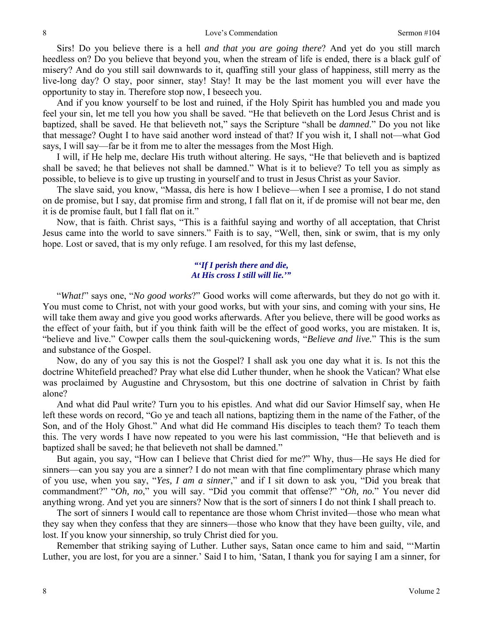Sirs! Do you believe there is a hell *and that you are going there*? And yet do you still march heedless on? Do you believe that beyond you, when the stream of life is ended, there is a black gulf of misery? And do you still sail downwards to it, quaffing still your glass of happiness, still merry as the live-long day? O stay, poor sinner, stay! Stay! It may be the last moment you will ever have the opportunity to stay in. Therefore stop now, I beseech you.

And if you know yourself to be lost and ruined, if the Holy Spirit has humbled you and made you feel your sin, let me tell you how you shall be saved. "He that believeth on the Lord Jesus Christ and is baptized, shall be saved. He that believeth not," says the Scripture "shall be *damned*." Do you not like that message? Ought I to have said another word instead of that? If you wish it, I shall not—what God says, I will say—far be it from me to alter the messages from the Most High.

I will, if He help me, declare His truth without altering. He says, "He that believeth and is baptized shall be saved; he that believes not shall be damned." What is it to believe? To tell you as simply as possible, to believe is to give up trusting in yourself and to trust in Jesus Christ as your Savior.

The slave said, you know, "Massa, dis here is how I believe—when I see a promise, I do not stand on de promise, but I say, dat promise firm and strong, I fall flat on it, if de promise will not bear me, den it is de promise fault, but I fall flat on it."

Now, that is faith. Christ says, "This is a faithful saying and worthy of all acceptation, that Christ Jesus came into the world to save sinners." Faith is to say, "Well, then, sink or swim, that is my only hope. Lost or saved, that is my only refuge. I am resolved, for this my last defense,

#### *"'If I perish there and die, At His cross I still will lie.'"*

"*What!*" says one, "*No good works*?" Good works will come afterwards, but they do not go with it. You must come to Christ, not with your good works, but with your sins, and coming with your sins, He will take them away and give you good works afterwards. After you believe, there will be good works as the effect of your faith, but if you think faith will be the effect of good works, you are mistaken. It is, "believe and live." Cowper calls them the soul-quickening words, "*Believe and live.*" This is the sum and substance of the Gospel.

Now, do any of you say this is not the Gospel? I shall ask you one day what it is. Is not this the doctrine Whitefield preached? Pray what else did Luther thunder, when he shook the Vatican? What else was proclaimed by Augustine and Chrysostom, but this one doctrine of salvation in Christ by faith alone?

And what did Paul write? Turn you to his epistles. And what did our Savior Himself say, when He left these words on record, "Go ye and teach all nations, baptizing them in the name of the Father, of the Son, and of the Holy Ghost." And what did He command His disciples to teach them? To teach them this. The very words I have now repeated to you were his last commission, "He that believeth and is baptized shall be saved; he that believeth not shall be damned."

But again, you say, "How can I believe that Christ died for me?" Why, thus—He says He died for sinners—can you say you are a sinner? I do not mean with that fine complimentary phrase which many of you use, when you say, "*Yes, I am a sinner*," and if I sit down to ask you, "Did you break that commandment?" "*Oh, no*," you will say. "Did you commit that offense?" "*Oh, no.*" You never did anything wrong. And yet you are sinners? Now that is the sort of sinners I do not think I shall preach to.

The sort of sinners I would call to repentance are those whom Christ invited—those who mean what they say when they confess that they are sinners—those who know that they have been guilty, vile, and lost. If you know your sinnership, so truly Christ died for you.

Remember that striking saying of Luther. Luther says, Satan once came to him and said, "'Martin Luther, you are lost, for you are a sinner.' Said I to him, 'Satan, I thank you for saying I am a sinner, for